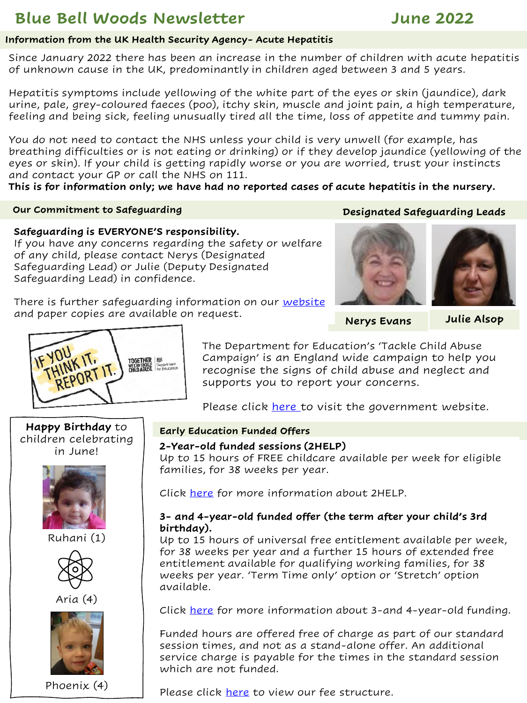# **Blue Bell Woods Newsletter June 2022**

#### **Information from the UK Health Security Agency- Acute Hepatitis**

Since January 2022 there has been an increase in the number of children with acute hepatitis of unknown cause in the UK, predominantly in children aged between 3 and 5 years.

Hepatitis symptoms include yellowing of the white part of the eyes or skin (jaundice), dark urine, pale, grey-coloured faeces (poo), itchy skin, muscle and joint pain, a high temperature, feeling and being sick, feeling unusually tired all the time, loss of appetite and tummy pain.

You do not need to contact the NHS unless your child is very unwell (for example, has breathing difficulties or is not eating or drinking) or if they develop jaundice (yellowing of the eyes or skin). If your child is getting rapidly worse or you are worried, trust your instincts and contact your GP or call the NHS on 111.

**This is for information only; we have had no reported cases of acute hepatitis in the nursery.**

#### **Our Commitment to Safeguarding**

## **Designated Safeguarding Leads**

### **Safeguarding is EVERYONE'S responsibility.**

If you have any concerns regarding the safety or welfare of any child, please contact Nerys (Designated Safeguarding Lead) or Julie (Deputy Designated Safeguarding Lead) in confidence.

There is further safeguarding information on our [website](https://www.bluebellwoodsdaynursery.com/safeguarding) and paper copies are available on request.



**Nerys Evans** 

**Julie Alsop**



The Department for Education's 'Tackle Child Abuse Campaign' is an England wide campaign to help you recognise the signs of child abuse and neglect and supports you to report your concerns.

Please click [here](https://tacklechildabuse.campaign.gov.uk/) to visit the government website.

## **Happy Birthday** to children celebrating in June!



Ruhani (1)



Aria (4)



Phoenix (4)

#### **Early Education Funded Offers**

#### **2-Year-old funded sessions (2HELP)**

Up to 15 hours of FREE childcare available per week for eligible families, for 38 weeks per year.

Click [here](https://www.bluebellwoodsdaynursery.com/2-year-old-funding) for more information about 2HELP.

### **3- and 4-year-old funded offer (the term after your child's 3rd birthday).**

Up to 15 hours of universal free entitlement available per week, for 38 weeks per year and a further 15 hours of extended free entitlement available for qualifying working families, for 38 weeks per year. 'Term Time only' option or 'Stretch' option available.

Click [here](https://www.bluebellwoodsdaynursery.com/3-and-4-year-old-funding) for more information about 3-and 4-year-old funding.

Funded hours are offered free of charge as part of our standard session times, and not as a stand-alone offer. An additional service charge is payable for the times in the standard session which are not funded.

Please click [here](https://www.bluebellwoodsdaynursery.com/price-list) to view our fee structure.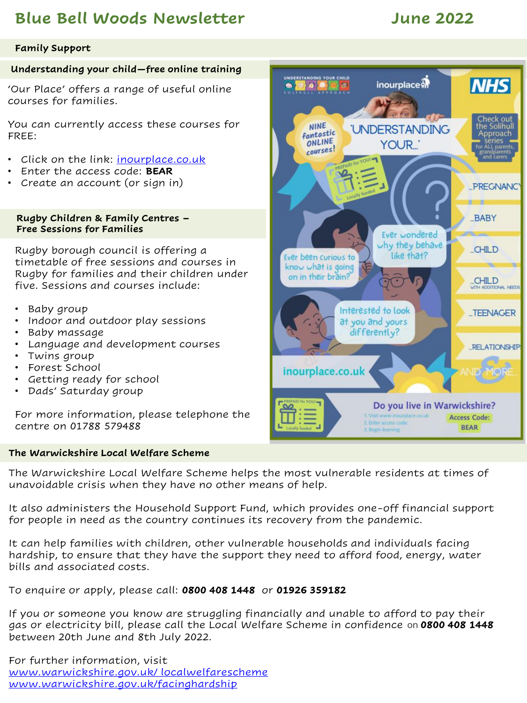# **Blue Bell Woods Newsletter June 2022**

### **Family Support**

### **Understanding your child—free online training**

'Our Place' offers a range of useful online courses for families.

You can currently access these courses for FREE:

- Click on the link: inourplace.co.uk
- Enter the access code: **BEAR**
- Create an account (or sign in)

**Rugby Children & Family Centres – Free Sessions for Families** 

Rugby borough council is offering a timetable of free sessions and courses in Rugby for families and their children under five. Sessions and courses include:

- Baby group
- Indoor and outdoor play sessions
- Baby massage
- Language and development courses
- Twins group
- Forest School
- Getting ready for school
- Dads' Saturday group

For more information, please telephone the centre on 01788 579488

#### **The Warwickshire Local Welfare Scheme**

UNDERSTANDING YOUR CHILD **NHS** inourplace M  $\bullet$   $\bullet$   $\bullet$   $\bullet$ Check out<br>the Solihul **NINE 'UNDERSTANDING** fantastic Approach ONLINE series -YOUR. courses! **PREGNANO BABY** Ever wondered why they behave CHILD like that? Ever been curious to know what is going on in their brain? **CHILD** WITH ADDITIONAL NEEDS Interested to look ...TEENAGER at you and yours differently? **RELATIONSHIP** inourplace.co.uk Do you live in Warwickshire? 1. Visit www.inourplace.co.uk **Access Code:** 2. Enter access code **BEAR** 

The Warwickshire Local Welfare Scheme helps the most vulnerable residents at times of unavoidable crisis when they have no other means of help.

It also administers the Household Support Fund, which provides one-off financial support for people in need as the country continues its recovery from the pandemic.

It can help families with children, other vulnerable households and individuals facing hardship, to ensure that they have the support they need to afford food, energy, water bills and associated costs.

To enquire or apply, please call: **0800 408 1448** or **01926 359182**

If you or someone you know are struggling financially and unable to afford to pay their gas or electricity bill, please call the Local Welfare Scheme in confidence on **0800 408 1448**  between 20th June and 8th July 2022.

For further information, visit [www.warwickshire.gov.uk/ localwelfarescheme](https://www.warwickshire.gov.uk/localwelfarescheme) [www.warwickshire.gov.uk/facinghardship](https://www.warwickshire.gov.uk/facinghardship)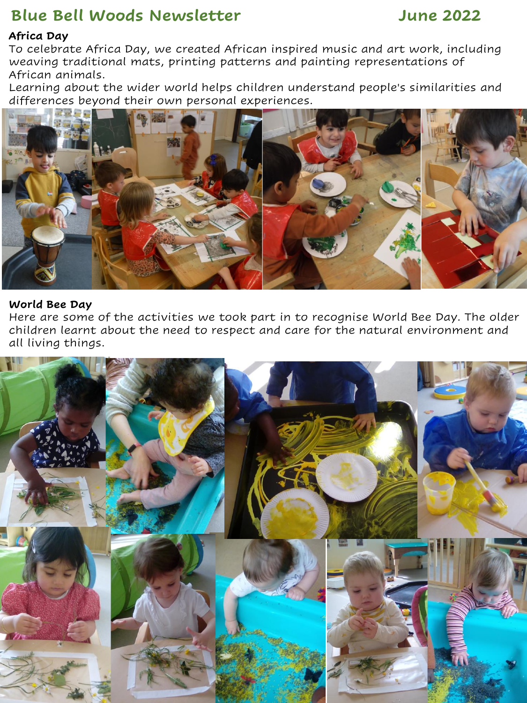# **Blue Bell Woods Newsletter June 2022**

## **Africa Day**

To celebrate Africa Day, we created African inspired music and art work, including weaving traditional mats, printing patterns and painting representations of African animals.

Learning about the wider world helps children understand people's similarities and differences beyond their own personal experiences.



### **World Bee Day**

Here are some of the activities we took part in to recognise World Bee Day. The older children learnt about the need to respect and care for the natural environment and all living things.